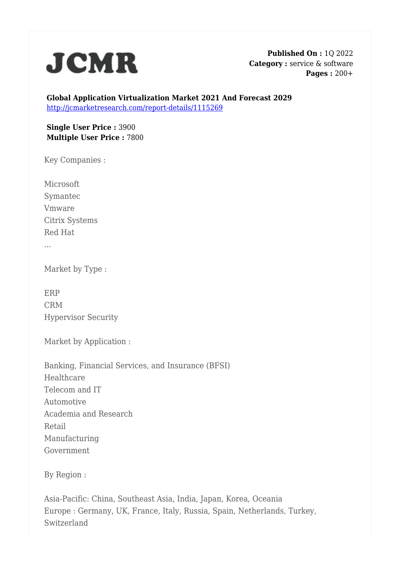

**Published On :** 1Q 2022 **Category :** service & software **Pages :** 200+

**Global Application Virtualization Market 2021 And Forecast 2029** <http://jcmarketresearch.com/report-details/1115269>

**Single User Price :** 3900 **Multiple User Price :** 7800

Key Companies :

Microsoft Symantec Vmware Citrix Systems Red Hat ...

Market by Type :

ERP CRM Hypervisor Security

Market by Application :

Banking, Financial Services, and Insurance (BFSI) Healthcare Telecom and IT Automotive Academia and Research Retail Manufacturing Government

By Region :

Asia-Pacific: China, Southeast Asia, India, Japan, Korea, Oceania Europe : Germany, UK, France, Italy, Russia, Spain, Netherlands, Turkey, Switzerland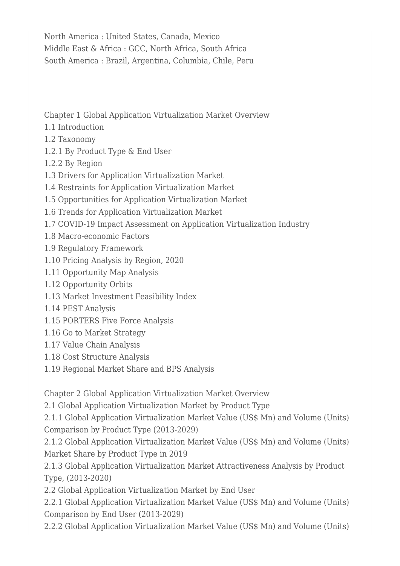North America : United States, Canada, Mexico Middle East & Africa : GCC, North Africa, South Africa South America : Brazil, Argentina, Columbia, Chile, Peru

Chapter 1 Global Application Virtualization Market Overview

- 1.1 Introduction
- 1.2 Taxonomy
- 1.2.1 By Product Type & End User
- 1.2.2 By Region
- 1.3 Drivers for Application Virtualization Market
- 1.4 Restraints for Application Virtualization Market
- 1.5 Opportunities for Application Virtualization Market
- 1.6 Trends for Application Virtualization Market
- 1.7 COVID-19 Impact Assessment on Application Virtualization Industry
- 1.8 Macro-economic Factors
- 1.9 Regulatory Framework
- 1.10 Pricing Analysis by Region, 2020
- 1.11 Opportunity Map Analysis
- 1.12 Opportunity Orbits
- 1.13 Market Investment Feasibility Index
- 1.14 PEST Analysis
- 1.15 PORTERS Five Force Analysis
- 1.16 Go to Market Strategy
- 1.17 Value Chain Analysis
- 1.18 Cost Structure Analysis
- 1.19 Regional Market Share and BPS Analysis

Chapter 2 Global Application Virtualization Market Overview

2.1 Global Application Virtualization Market by Product Type

2.1.1 Global Application Virtualization Market Value (US\$ Mn) and Volume (Units) Comparison by Product Type (2013-2029)

2.1.2 Global Application Virtualization Market Value (US\$ Mn) and Volume (Units) Market Share by Product Type in 2019

2.1.3 Global Application Virtualization Market Attractiveness Analysis by Product Type, (2013-2020)

2.2 Global Application Virtualization Market by End User

2.2.1 Global Application Virtualization Market Value (US\$ Mn) and Volume (Units) Comparison by End User (2013-2029)

2.2.2 Global Application Virtualization Market Value (US\$ Mn) and Volume (Units)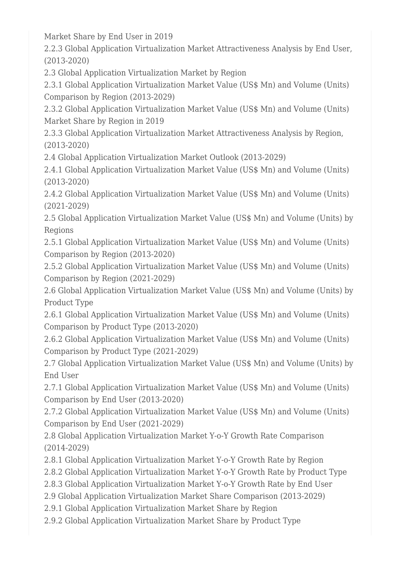Market Share by End User in 2019

2.2.3 Global Application Virtualization Market Attractiveness Analysis by End User, (2013-2020)

2.3 Global Application Virtualization Market by Region

2.3.1 Global Application Virtualization Market Value (US\$ Mn) and Volume (Units) Comparison by Region (2013-2029)

2.3.2 Global Application Virtualization Market Value (US\$ Mn) and Volume (Units) Market Share by Region in 2019

2.3.3 Global Application Virtualization Market Attractiveness Analysis by Region, (2013-2020)

2.4 Global Application Virtualization Market Outlook (2013-2029)

2.4.1 Global Application Virtualization Market Value (US\$ Mn) and Volume (Units) (2013-2020)

2.4.2 Global Application Virtualization Market Value (US\$ Mn) and Volume (Units) (2021-2029)

2.5 Global Application Virtualization Market Value (US\$ Mn) and Volume (Units) by Regions

2.5.1 Global Application Virtualization Market Value (US\$ Mn) and Volume (Units) Comparison by Region (2013-2020)

2.5.2 Global Application Virtualization Market Value (US\$ Mn) and Volume (Units) Comparison by Region (2021-2029)

2.6 Global Application Virtualization Market Value (US\$ Mn) and Volume (Units) by Product Type

2.6.1 Global Application Virtualization Market Value (US\$ Mn) and Volume (Units) Comparison by Product Type (2013-2020)

2.6.2 Global Application Virtualization Market Value (US\$ Mn) and Volume (Units) Comparison by Product Type (2021-2029)

2.7 Global Application Virtualization Market Value (US\$ Mn) and Volume (Units) by End User

2.7.1 Global Application Virtualization Market Value (US\$ Mn) and Volume (Units) Comparison by End User (2013-2020)

2.7.2 Global Application Virtualization Market Value (US\$ Mn) and Volume (Units) Comparison by End User (2021-2029)

2.8 Global Application Virtualization Market Y-o-Y Growth Rate Comparison (2014-2029)

- 2.8.1 Global Application Virtualization Market Y-o-Y Growth Rate by Region
- 2.8.2 Global Application Virtualization Market Y-o-Y Growth Rate by Product Type

2.8.3 Global Application Virtualization Market Y-o-Y Growth Rate by End User

2.9 Global Application Virtualization Market Share Comparison (2013-2029)

2.9.1 Global Application Virtualization Market Share by Region

2.9.2 Global Application Virtualization Market Share by Product Type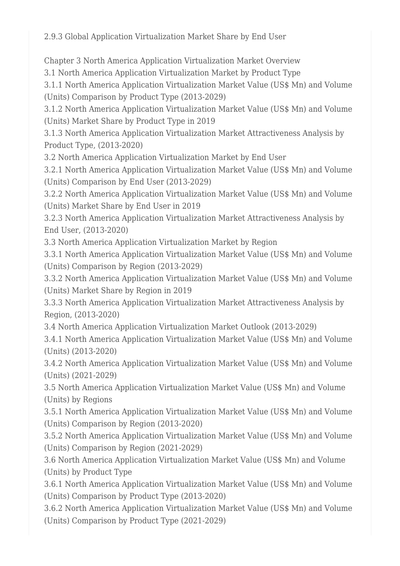2.9.3 Global Application Virtualization Market Share by End User

Chapter 3 North America Application Virtualization Market Overview

3.1 North America Application Virtualization Market by Product Type

3.1.1 North America Application Virtualization Market Value (US\$ Mn) and Volume (Units) Comparison by Product Type (2013-2029)

3.1.2 North America Application Virtualization Market Value (US\$ Mn) and Volume (Units) Market Share by Product Type in 2019

3.1.3 North America Application Virtualization Market Attractiveness Analysis by Product Type, (2013-2020)

3.2 North America Application Virtualization Market by End User

3.2.1 North America Application Virtualization Market Value (US\$ Mn) and Volume (Units) Comparison by End User (2013-2029)

3.2.2 North America Application Virtualization Market Value (US\$ Mn) and Volume (Units) Market Share by End User in 2019

3.2.3 North America Application Virtualization Market Attractiveness Analysis by End User, (2013-2020)

3.3 North America Application Virtualization Market by Region

3.3.1 North America Application Virtualization Market Value (US\$ Mn) and Volume (Units) Comparison by Region (2013-2029)

3.3.2 North America Application Virtualization Market Value (US\$ Mn) and Volume (Units) Market Share by Region in 2019

3.3.3 North America Application Virtualization Market Attractiveness Analysis by Region, (2013-2020)

3.4 North America Application Virtualization Market Outlook (2013-2029)

3.4.1 North America Application Virtualization Market Value (US\$ Mn) and Volume (Units) (2013-2020)

3.4.2 North America Application Virtualization Market Value (US\$ Mn) and Volume (Units) (2021-2029)

3.5 North America Application Virtualization Market Value (US\$ Mn) and Volume (Units) by Regions

3.5.1 North America Application Virtualization Market Value (US\$ Mn) and Volume (Units) Comparison by Region (2013-2020)

3.5.2 North America Application Virtualization Market Value (US\$ Mn) and Volume (Units) Comparison by Region (2021-2029)

3.6 North America Application Virtualization Market Value (US\$ Mn) and Volume (Units) by Product Type

3.6.1 North America Application Virtualization Market Value (US\$ Mn) and Volume (Units) Comparison by Product Type (2013-2020)

3.6.2 North America Application Virtualization Market Value (US\$ Mn) and Volume (Units) Comparison by Product Type (2021-2029)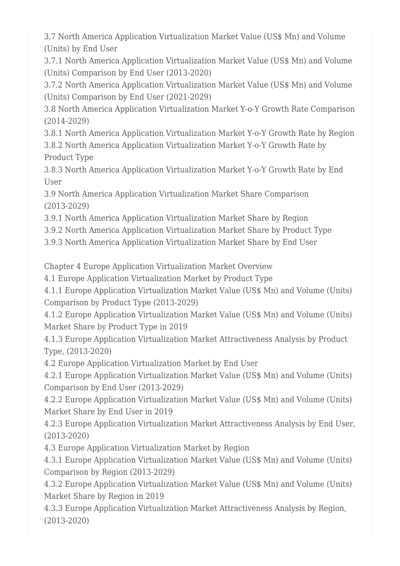3.7 North America Application Virtualization Market Value (US\$ Mn) and Volume (Units) by End User

3.7.1 North America Application Virtualization Market Value (US\$ Mn) and Volume (Units) Comparison by End User (2013-2020)

3.7.2 North America Application Virtualization Market Value (US\$ Mn) and Volume (Units) Comparison by End User (2021-2029)

3.8 North America Application Virtualization Market Y-o-Y Growth Rate Comparison (2014-2029)

3.8.1 North America Application Virtualization Market Y-o-Y Growth Rate by Region 3.8.2 North America Application Virtualization Market Y-o-Y Growth Rate by Product Type

3.8.3 North America Application Virtualization Market Y-o-Y Growth Rate by End User

3.9 North America Application Virtualization Market Share Comparison (2013-2029)

3.9.1 North America Application Virtualization Market Share by Region

3.9.2 North America Application Virtualization Market Share by Product Type

3.9.3 North America Application Virtualization Market Share by End User

Chapter 4 Europe Application Virtualization Market Overview

4.1 Europe Application Virtualization Market by Product Type

4.1.1 Europe Application Virtualization Market Value (US\$ Mn) and Volume (Units) Comparison by Product Type (2013-2029)

4.1.2 Europe Application Virtualization Market Value (US\$ Mn) and Volume (Units) Market Share by Product Type in 2019

4.1.3 Europe Application Virtualization Market Attractiveness Analysis by Product Type, (2013-2020)

4.2 Europe Application Virtualization Market by End User

4.2.1 Europe Application Virtualization Market Value (US\$ Mn) and Volume (Units) Comparison by End User (2013-2029)

4.2.2 Europe Application Virtualization Market Value (US\$ Mn) and Volume (Units) Market Share by End User in 2019

4.2.3 Europe Application Virtualization Market Attractiveness Analysis by End User, (2013-2020)

4.3 Europe Application Virtualization Market by Region

4.3.1 Europe Application Virtualization Market Value (US\$ Mn) and Volume (Units) Comparison by Region (2013-2029)

4.3.2 Europe Application Virtualization Market Value (US\$ Mn) and Volume (Units) Market Share by Region in 2019

4.3.3 Europe Application Virtualization Market Attractiveness Analysis by Region, (2013-2020)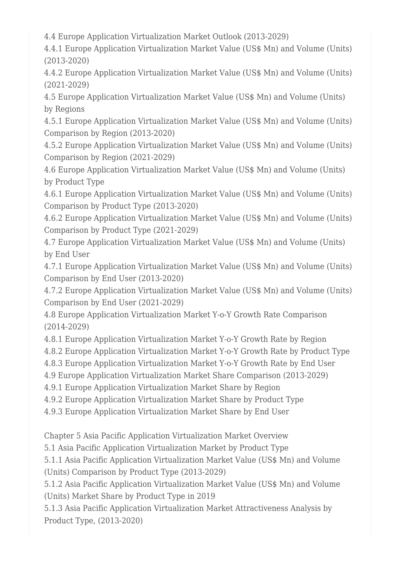4.4 Europe Application Virtualization Market Outlook (2013-2029)

4.4.1 Europe Application Virtualization Market Value (US\$ Mn) and Volume (Units) (2013-2020)

4.4.2 Europe Application Virtualization Market Value (US\$ Mn) and Volume (Units) (2021-2029)

4.5 Europe Application Virtualization Market Value (US\$ Mn) and Volume (Units) by Regions

4.5.1 Europe Application Virtualization Market Value (US\$ Mn) and Volume (Units) Comparison by Region (2013-2020)

4.5.2 Europe Application Virtualization Market Value (US\$ Mn) and Volume (Units) Comparison by Region (2021-2029)

4.6 Europe Application Virtualization Market Value (US\$ Mn) and Volume (Units) by Product Type

4.6.1 Europe Application Virtualization Market Value (US\$ Mn) and Volume (Units) Comparison by Product Type (2013-2020)

4.6.2 Europe Application Virtualization Market Value (US\$ Mn) and Volume (Units) Comparison by Product Type (2021-2029)

4.7 Europe Application Virtualization Market Value (US\$ Mn) and Volume (Units) by End User

4.7.1 Europe Application Virtualization Market Value (US\$ Mn) and Volume (Units) Comparison by End User (2013-2020)

4.7.2 Europe Application Virtualization Market Value (US\$ Mn) and Volume (Units) Comparison by End User (2021-2029)

4.8 Europe Application Virtualization Market Y-o-Y Growth Rate Comparison (2014-2029)

4.8.1 Europe Application Virtualization Market Y-o-Y Growth Rate by Region

4.8.2 Europe Application Virtualization Market Y-o-Y Growth Rate by Product Type

4.8.3 Europe Application Virtualization Market Y-o-Y Growth Rate by End User

4.9 Europe Application Virtualization Market Share Comparison (2013-2029)

4.9.1 Europe Application Virtualization Market Share by Region

4.9.2 Europe Application Virtualization Market Share by Product Type

4.9.3 Europe Application Virtualization Market Share by End User

Chapter 5 Asia Pacific Application Virtualization Market Overview

5.1 Asia Pacific Application Virtualization Market by Product Type

5.1.1 Asia Pacific Application Virtualization Market Value (US\$ Mn) and Volume (Units) Comparison by Product Type (2013-2029)

5.1.2 Asia Pacific Application Virtualization Market Value (US\$ Mn) and Volume (Units) Market Share by Product Type in 2019

5.1.3 Asia Pacific Application Virtualization Market Attractiveness Analysis by Product Type, (2013-2020)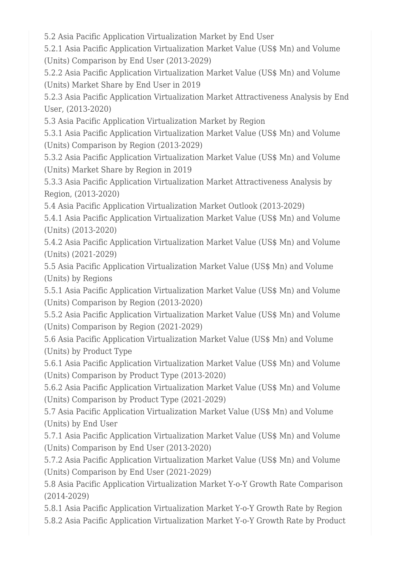5.2 Asia Pacific Application Virtualization Market by End User

5.2.1 Asia Pacific Application Virtualization Market Value (US\$ Mn) and Volume (Units) Comparison by End User (2013-2029)

5.2.2 Asia Pacific Application Virtualization Market Value (US\$ Mn) and Volume (Units) Market Share by End User in 2019

5.2.3 Asia Pacific Application Virtualization Market Attractiveness Analysis by End User, (2013-2020)

5.3 Asia Pacific Application Virtualization Market by Region

5.3.1 Asia Pacific Application Virtualization Market Value (US\$ Mn) and Volume (Units) Comparison by Region (2013-2029)

5.3.2 Asia Pacific Application Virtualization Market Value (US\$ Mn) and Volume (Units) Market Share by Region in 2019

5.3.3 Asia Pacific Application Virtualization Market Attractiveness Analysis by Region, (2013-2020)

5.4 Asia Pacific Application Virtualization Market Outlook (2013-2029)

5.4.1 Asia Pacific Application Virtualization Market Value (US\$ Mn) and Volume (Units) (2013-2020)

5.4.2 Asia Pacific Application Virtualization Market Value (US\$ Mn) and Volume (Units) (2021-2029)

5.5 Asia Pacific Application Virtualization Market Value (US\$ Mn) and Volume (Units) by Regions

5.5.1 Asia Pacific Application Virtualization Market Value (US\$ Mn) and Volume (Units) Comparison by Region (2013-2020)

5.5.2 Asia Pacific Application Virtualization Market Value (US\$ Mn) and Volume (Units) Comparison by Region (2021-2029)

5.6 Asia Pacific Application Virtualization Market Value (US\$ Mn) and Volume (Units) by Product Type

5.6.1 Asia Pacific Application Virtualization Market Value (US\$ Mn) and Volume (Units) Comparison by Product Type (2013-2020)

5.6.2 Asia Pacific Application Virtualization Market Value (US\$ Mn) and Volume (Units) Comparison by Product Type (2021-2029)

5.7 Asia Pacific Application Virtualization Market Value (US\$ Mn) and Volume (Units) by End User

5.7.1 Asia Pacific Application Virtualization Market Value (US\$ Mn) and Volume (Units) Comparison by End User (2013-2020)

5.7.2 Asia Pacific Application Virtualization Market Value (US\$ Mn) and Volume (Units) Comparison by End User (2021-2029)

5.8 Asia Pacific Application Virtualization Market Y-o-Y Growth Rate Comparison (2014-2029)

5.8.1 Asia Pacific Application Virtualization Market Y-o-Y Growth Rate by Region 5.8.2 Asia Pacific Application Virtualization Market Y-o-Y Growth Rate by Product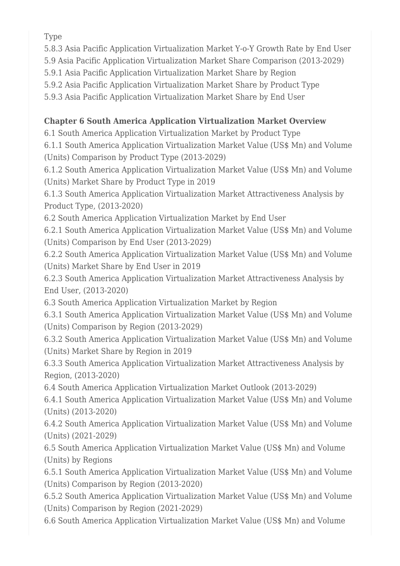Type

5.8.3 Asia Pacific Application Virtualization Market Y-o-Y Growth Rate by End User

5.9 Asia Pacific Application Virtualization Market Share Comparison (2013-2029)

5.9.1 Asia Pacific Application Virtualization Market Share by Region

5.9.2 Asia Pacific Application Virtualization Market Share by Product Type

5.9.3 Asia Pacific Application Virtualization Market Share by End User

## **Chapter 6 South America Application Virtualization Market Overview**

6.1 South America Application Virtualization Market by Product Type

6.1.1 South America Application Virtualization Market Value (US\$ Mn) and Volume (Units) Comparison by Product Type (2013-2029)

6.1.2 South America Application Virtualization Market Value (US\$ Mn) and Volume (Units) Market Share by Product Type in 2019

6.1.3 South America Application Virtualization Market Attractiveness Analysis by Product Type, (2013-2020)

6.2 South America Application Virtualization Market by End User

6.2.1 South America Application Virtualization Market Value (US\$ Mn) and Volume (Units) Comparison by End User (2013-2029)

6.2.2 South America Application Virtualization Market Value (US\$ Mn) and Volume (Units) Market Share by End User in 2019

6.2.3 South America Application Virtualization Market Attractiveness Analysis by End User, (2013-2020)

6.3 South America Application Virtualization Market by Region

6.3.1 South America Application Virtualization Market Value (US\$ Mn) and Volume (Units) Comparison by Region (2013-2029)

6.3.2 South America Application Virtualization Market Value (US\$ Mn) and Volume (Units) Market Share by Region in 2019

6.3.3 South America Application Virtualization Market Attractiveness Analysis by Region, (2013-2020)

6.4 South America Application Virtualization Market Outlook (2013-2029)

6.4.1 South America Application Virtualization Market Value (US\$ Mn) and Volume (Units) (2013-2020)

6.4.2 South America Application Virtualization Market Value (US\$ Mn) and Volume (Units) (2021-2029)

6.5 South America Application Virtualization Market Value (US\$ Mn) and Volume (Units) by Regions

6.5.1 South America Application Virtualization Market Value (US\$ Mn) and Volume (Units) Comparison by Region (2013-2020)

6.5.2 South America Application Virtualization Market Value (US\$ Mn) and Volume (Units) Comparison by Region (2021-2029)

6.6 South America Application Virtualization Market Value (US\$ Mn) and Volume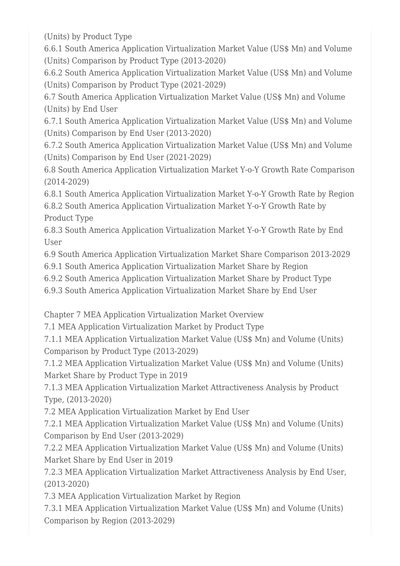(Units) by Product Type

6.6.1 South America Application Virtualization Market Value (US\$ Mn) and Volume (Units) Comparison by Product Type (2013-2020)

6.6.2 South America Application Virtualization Market Value (US\$ Mn) and Volume (Units) Comparison by Product Type (2021-2029)

6.7 South America Application Virtualization Market Value (US\$ Mn) and Volume (Units) by End User

6.7.1 South America Application Virtualization Market Value (US\$ Mn) and Volume (Units) Comparison by End User (2013-2020)

6.7.2 South America Application Virtualization Market Value (US\$ Mn) and Volume (Units) Comparison by End User (2021-2029)

6.8 South America Application Virtualization Market Y-o-Y Growth Rate Comparison (2014-2029)

6.8.1 South America Application Virtualization Market Y-o-Y Growth Rate by Region 6.8.2 South America Application Virtualization Market Y-o-Y Growth Rate by

Product Type

6.8.3 South America Application Virtualization Market Y-o-Y Growth Rate by End User

6.9 South America Application Virtualization Market Share Comparison 2013-2029

6.9.1 South America Application Virtualization Market Share by Region

6.9.2 South America Application Virtualization Market Share by Product Type

6.9.3 South America Application Virtualization Market Share by End User

Chapter 7 MEA Application Virtualization Market Overview

7.1 MEA Application Virtualization Market by Product Type

7.1.1 MEA Application Virtualization Market Value (US\$ Mn) and Volume (Units) Comparison by Product Type (2013-2029)

7.1.2 MEA Application Virtualization Market Value (US\$ Mn) and Volume (Units) Market Share by Product Type in 2019

7.1.3 MEA Application Virtualization Market Attractiveness Analysis by Product Type, (2013-2020)

7.2 MEA Application Virtualization Market by End User

7.2.1 MEA Application Virtualization Market Value (US\$ Mn) and Volume (Units) Comparison by End User (2013-2029)

7.2.2 MEA Application Virtualization Market Value (US\$ Mn) and Volume (Units) Market Share by End User in 2019

7.2.3 MEA Application Virtualization Market Attractiveness Analysis by End User, (2013-2020)

7.3 MEA Application Virtualization Market by Region

7.3.1 MEA Application Virtualization Market Value (US\$ Mn) and Volume (Units) Comparison by Region (2013-2029)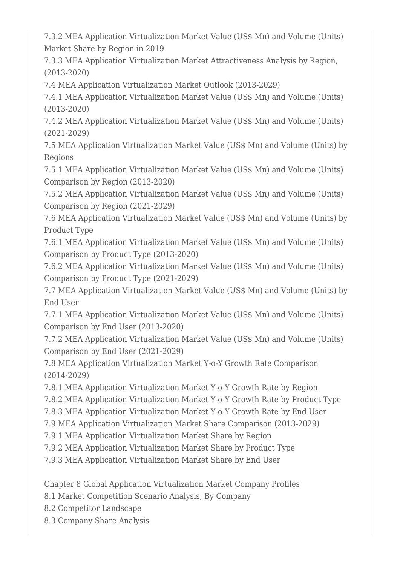7.3.2 MEA Application Virtualization Market Value (US\$ Mn) and Volume (Units) Market Share by Region in 2019

7.3.3 MEA Application Virtualization Market Attractiveness Analysis by Region, (2013-2020)

7.4 MEA Application Virtualization Market Outlook (2013-2029)

7.4.1 MEA Application Virtualization Market Value (US\$ Mn) and Volume (Units) (2013-2020)

7.4.2 MEA Application Virtualization Market Value (US\$ Mn) and Volume (Units) (2021-2029)

7.5 MEA Application Virtualization Market Value (US\$ Mn) and Volume (Units) by Regions

7.5.1 MEA Application Virtualization Market Value (US\$ Mn) and Volume (Units) Comparison by Region (2013-2020)

7.5.2 MEA Application Virtualization Market Value (US\$ Mn) and Volume (Units) Comparison by Region (2021-2029)

7.6 MEA Application Virtualization Market Value (US\$ Mn) and Volume (Units) by Product Type

7.6.1 MEA Application Virtualization Market Value (US\$ Mn) and Volume (Units) Comparison by Product Type (2013-2020)

7.6.2 MEA Application Virtualization Market Value (US\$ Mn) and Volume (Units) Comparison by Product Type (2021-2029)

7.7 MEA Application Virtualization Market Value (US\$ Mn) and Volume (Units) by End User

7.7.1 MEA Application Virtualization Market Value (US\$ Mn) and Volume (Units) Comparison by End User (2013-2020)

7.7.2 MEA Application Virtualization Market Value (US\$ Mn) and Volume (Units) Comparison by End User (2021-2029)

7.8 MEA Application Virtualization Market Y-o-Y Growth Rate Comparison (2014-2029)

7.8.1 MEA Application Virtualization Market Y-o-Y Growth Rate by Region

7.8.2 MEA Application Virtualization Market Y-o-Y Growth Rate by Product Type

7.8.3 MEA Application Virtualization Market Y-o-Y Growth Rate by End User

7.9 MEA Application Virtualization Market Share Comparison (2013-2029)

7.9.1 MEA Application Virtualization Market Share by Region

7.9.2 MEA Application Virtualization Market Share by Product Type

7.9.3 MEA Application Virtualization Market Share by End User

Chapter 8 Global Application Virtualization Market Company Profiles

8.1 Market Competition Scenario Analysis, By Company

8.2 Competitor Landscape

8.3 Company Share Analysis